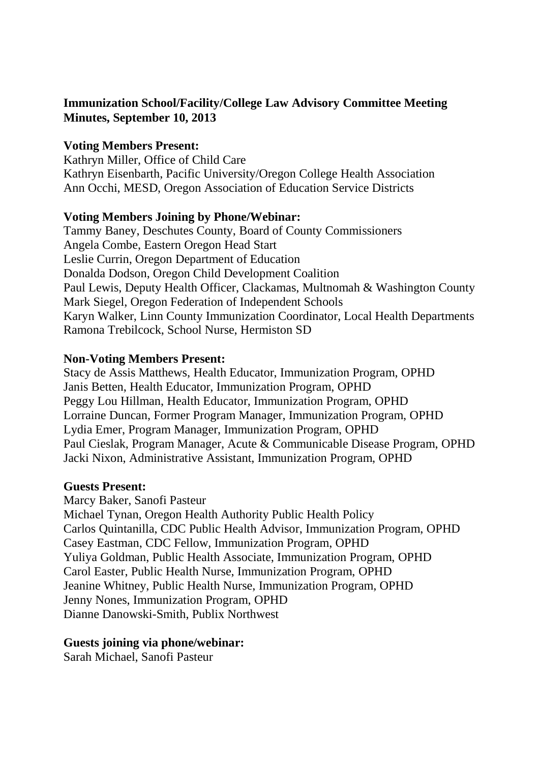# **Immunization School/Facility/College Law Advisory Committee Meeting Minutes, September 10, 2013**

## **Voting Members Present:**

Kathryn Miller, Office of Child Care Kathryn Eisenbarth, Pacific University/Oregon College Health Association Ann Occhi, MESD, Oregon Association of Education Service Districts

#### **Voting Members Joining by Phone/Webinar:**

Tammy Baney, Deschutes County, Board of County Commissioners Angela Combe, Eastern Oregon Head Start Leslie Currin, Oregon Department of Education Donalda Dodson, Oregon Child Development Coalition Paul Lewis, Deputy Health Officer, Clackamas, Multnomah & Washington County Mark Siegel, Oregon Federation of Independent Schools Karyn Walker, Linn County Immunization Coordinator, Local Health Departments Ramona Trebilcock, School Nurse, Hermiston SD

## **Non-Voting Members Present:**

Stacy de Assis Matthews, Health Educator, Immunization Program, OPHD Janis Betten, Health Educator, Immunization Program, OPHD Peggy Lou Hillman, Health Educator, Immunization Program, OPHD Lorraine Duncan, Former Program Manager, Immunization Program, OPHD Lydia Emer, Program Manager, Immunization Program, OPHD Paul Cieslak, Program Manager, Acute & Communicable Disease Program, OPHD Jacki Nixon, Administrative Assistant, Immunization Program, OPHD

#### **Guests Present:**

Marcy Baker, Sanofi Pasteur Michael Tynan, Oregon Health Authority Public Health Policy Carlos Quintanilla, CDC Public Health Advisor, Immunization Program, OPHD Casey Eastman, CDC Fellow, Immunization Program, OPHD Yuliya Goldman, Public Health Associate, Immunization Program, OPHD Carol Easter, Public Health Nurse, Immunization Program, OPHD Jeanine Whitney, Public Health Nurse, Immunization Program, OPHD Jenny Nones, Immunization Program, OPHD Dianne Danowski-Smith, Publix Northwest

#### **Guests joining via phone/webinar:**

Sarah Michael, Sanofi Pasteur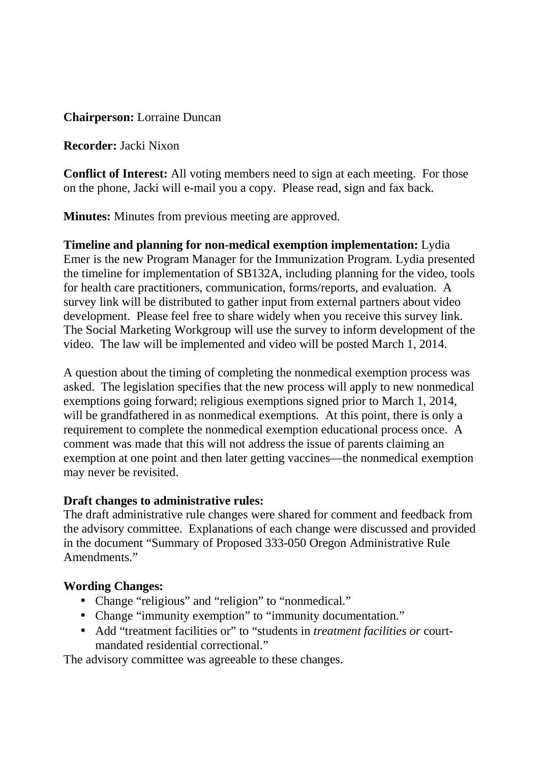**Chairperson:** Lorraine Duncan

**Recorder:** Jacki Nixon

**Conflict of Interest:** All voting members need to sign at each meeting. For those on the phone, Jacki will e-mail you a copy. Please read, sign and fax back.

**Minutes:** Minutes from previous meeting are approved.

**Timeline and planning for non-medical exemption implementation:** Lydia Emer is the new Program Manager for the Immunization Program. Lydia presented the timeline for implementation of SB132A, including planning for the video, tools for health care practitioners, communication, forms/reports, and evaluation. A survey link will be distributed to gather input from external partners about video development. Please feel free to share widely when you receive this survey link. The Social Marketing Workgroup will use the survey to inform development of the video. The law will be implemented and video will be posted March 1, 2014.

A question about the timing of completing the nonmedical exemption process was asked. The legislation specifies that the new process will apply to new nonmedical exemptions going forward; religious exemptions signed prior to March 1, 2014, will be grandfathered in as nonmedical exemptions. At this point, there is only a requirement to complete the nonmedical exemption educational process once. A comment was made that this will not address the issue of parents claiming an exemption at one point and then later getting vaccines—the nonmedical exemption may never be revisited.

#### **Draft changes to administrative rules:**

The draft administrative rule changes were shared for comment and feedback from the advisory committee. Explanations of each change were discussed and provided in the document "Summary of Proposed 333-050 Oregon Administrative Rule Amendments"

# **Wording Changes:**

- Change "religious" and "religion" to "nonmedical."
- Change "immunity exemption" to "immunity documentation."
- Add "treatment facilities or" to "students in *treatment facilities or* courtmandated residential correctional."

The advisory committee was agreeable to these changes.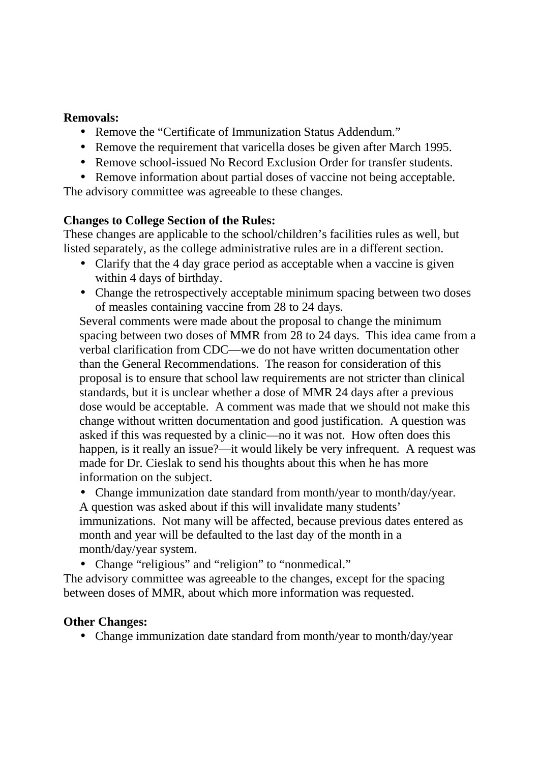## **Removals:**

- Remove the "Certificate of Immunization Status Addendum."
- Remove the requirement that varicella doses be given after March 1995.
- Remove school-issued No Record Exclusion Order for transfer students.
- Remove information about partial doses of vaccine not being acceptable.

The advisory committee was agreeable to these changes.

## **Changes to College Section of the Rules:**

These changes are applicable to the school/children's facilities rules as well, but listed separately, as the college administrative rules are in a different section.

- Clarify that the 4 day grace period as acceptable when a vaccine is given within 4 days of birthday.
- Change the retrospectively acceptable minimum spacing between two doses of measles containing vaccine from 28 to 24 days.

Several comments were made about the proposal to change the minimum spacing between two doses of MMR from 28 to 24 days. This idea came from a verbal clarification from CDC—we do not have written documentation other than the General Recommendations. The reason for consideration of this proposal is to ensure that school law requirements are not stricter than clinical standards, but it is unclear whether a dose of MMR 24 days after a previous dose would be acceptable. A comment was made that we should not make this change without written documentation and good justification. A question was asked if this was requested by a clinic—no it was not. How often does this happen, is it really an issue?—it would likely be very infrequent. A request was made for Dr. Cieslak to send his thoughts about this when he has more information on the subject.

• Change immunization date standard from month/year to month/day/year. A question was asked about if this will invalidate many students' immunizations. Not many will be affected, because previous dates entered as month and year will be defaulted to the last day of the month in a month/day/year system.

• Change "religious" and "religion" to "nonmedical."

The advisory committee was agreeable to the changes, except for the spacing between doses of MMR, about which more information was requested.

# **Other Changes:**

• Change immunization date standard from month/year to month/day/year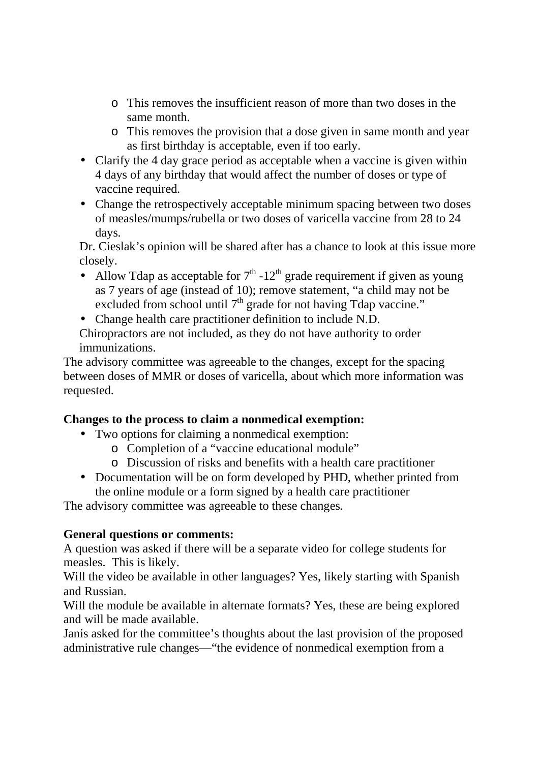- o This removes the insufficient reason of more than two doses in the same month.
- o This removes the provision that a dose given in same month and year as first birthday is acceptable, even if too early.
- Clarify the 4 day grace period as acceptable when a vaccine is given within 4 days of any birthday that would affect the number of doses or type of vaccine required.
- Change the retrospectively acceptable minimum spacing between two doses of measles/mumps/rubella or two doses of varicella vaccine from 28 to 24 days.

Dr. Cieslak's opinion will be shared after has a chance to look at this issue more closely.

- Allow Tdap as acceptable for  $7<sup>th</sup> -12<sup>th</sup>$  grade requirement if given as young as 7 years of age (instead of 10); remove statement, "a child may not be excluded from school until  $7<sup>th</sup>$  grade for not having Tdap vaccine."
- Change health care practitioner definition to include N.D.

Chiropractors are not included, as they do not have authority to order immunizations.

The advisory committee was agreeable to the changes, except for the spacing between doses of MMR or doses of varicella, about which more information was requested.

# **Changes to the process to claim a nonmedical exemption:**

- Two options for claiming a nonmedical exemption:
	- o Completion of a "vaccine educational module"
	- o Discussion of risks and benefits with a health care practitioner
- Documentation will be on form developed by PHD, whether printed from the online module or a form signed by a health care practitioner

The advisory committee was agreeable to these changes.

# **General questions or comments:**

A question was asked if there will be a separate video for college students for measles. This is likely.

Will the video be available in other languages? Yes, likely starting with Spanish and Russian.

Will the module be available in alternate formats? Yes, these are being explored and will be made available.

Janis asked for the committee's thoughts about the last provision of the proposed administrative rule changes—"the evidence of nonmedical exemption from a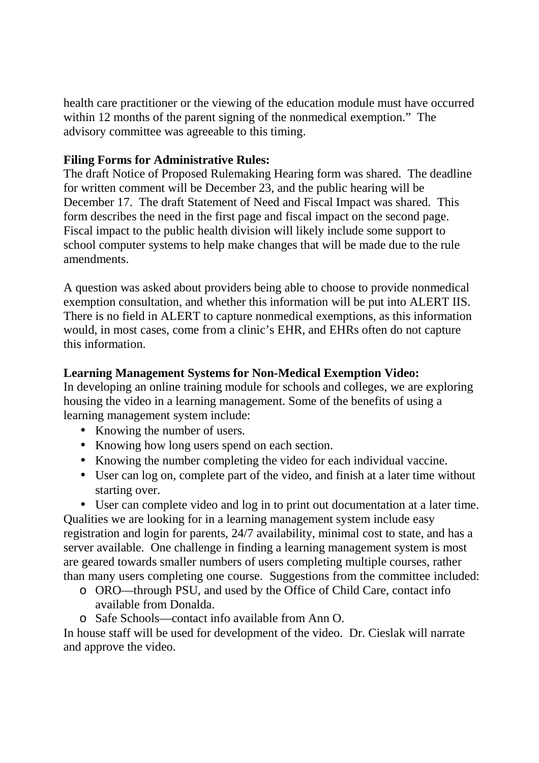health care practitioner or the viewing of the education module must have occurred within 12 months of the parent signing of the nonmedical exemption." The advisory committee was agreeable to this timing.

# **Filing Forms for Administrative Rules:**

The draft Notice of Proposed Rulemaking Hearing form was shared. The deadline for written comment will be December 23, and the public hearing will be December 17. The draft Statement of Need and Fiscal Impact was shared. This form describes the need in the first page and fiscal impact on the second page. Fiscal impact to the public health division will likely include some support to school computer systems to help make changes that will be made due to the rule amendments.

A question was asked about providers being able to choose to provide nonmedical exemption consultation, and whether this information will be put into ALERT IIS. There is no field in ALERT to capture nonmedical exemptions, as this information would, in most cases, come from a clinic's EHR, and EHRs often do not capture this information.

# **Learning Management Systems for Non-Medical Exemption Video:**

In developing an online training module for schools and colleges, we are exploring housing the video in a learning management. Some of the benefits of using a learning management system include:

- Knowing the number of users.
- Knowing how long users spend on each section.
- Knowing the number completing the video for each individual vaccine.
- User can log on, complete part of the video, and finish at a later time without starting over.
- User can complete video and log in to print out documentation at a later time.

Qualities we are looking for in a learning management system include easy registration and login for parents, 24/7 availability, minimal cost to state, and has a server available. One challenge in finding a learning management system is most are geared towards smaller numbers of users completing multiple courses, rather than many users completing one course. Suggestions from the committee included:

- o ORO—through PSU, and used by the Office of Child Care, contact info available from Donalda.
- o Safe Schools—contact info available from Ann O.

In house staff will be used for development of the video. Dr. Cieslak will narrate and approve the video.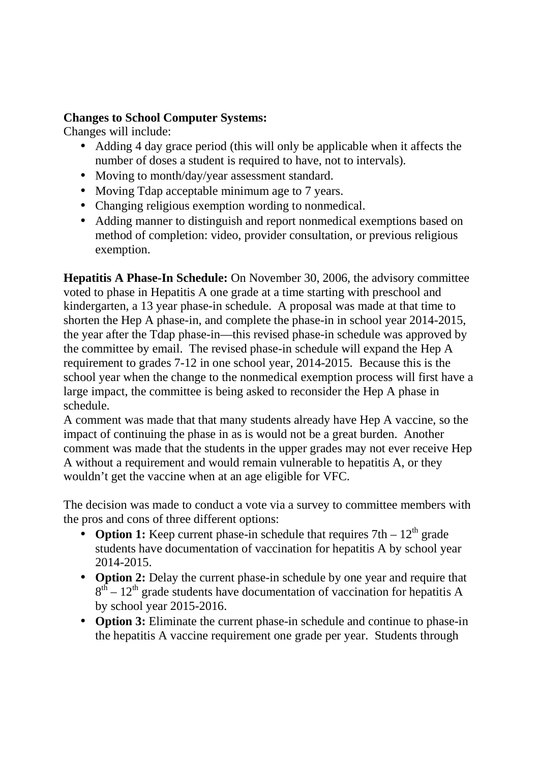# **Changes to School Computer Systems:**

Changes will include:

- Adding 4 day grace period (this will only be applicable when it affects the number of doses a student is required to have, not to intervals).
- Moving to month/day/year assessment standard.
- Moving Tdap acceptable minimum age to 7 years.
- Changing religious exemption wording to nonmedical.
- Adding manner to distinguish and report nonmedical exemptions based on method of completion: video, provider consultation, or previous religious exemption.

**Hepatitis A Phase-In Schedule:** On November 30, 2006, the advisory committee voted to phase in Hepatitis A one grade at a time starting with preschool and kindergarten, a 13 year phase-in schedule. A proposal was made at that time to shorten the Hep A phase-in, and complete the phase-in in school year 2014-2015, the year after the Tdap phase-in—this revised phase-in schedule was approved by the committee by email. The revised phase-in schedule will expand the Hep A requirement to grades 7-12 in one school year, 2014-2015. Because this is the school year when the change to the nonmedical exemption process will first have a large impact, the committee is being asked to reconsider the Hep A phase in schedule.

A comment was made that that many students already have Hep A vaccine, so the impact of continuing the phase in as is would not be a great burden. Another comment was made that the students in the upper grades may not ever receive Hep A without a requirement and would remain vulnerable to hepatitis A, or they wouldn't get the vaccine when at an age eligible for VFC.

The decision was made to conduct a vote via a survey to committee members with the pros and cons of three different options:

- **Option 1:** Keep current phase-in schedule that requires  $7th 12<sup>th</sup>$  grade students have documentation of vaccination for hepatitis A by school year 2014-2015.
- **Option 2:** Delay the current phase-in schedule by one year and require that  $8<sup>th</sup> - 12<sup>th</sup>$  grade students have documentation of vaccination for hepatitis A by school year 2015-2016.
- **Option 3:** Eliminate the current phase-in schedule and continue to phase-in the hepatitis A vaccine requirement one grade per year. Students through